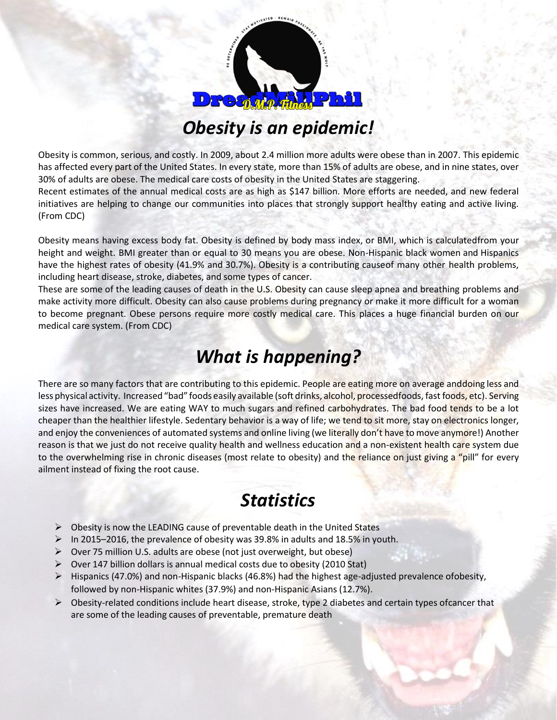

## *Obesity is an epidemic!*

Obesity is common, serious, and costly. In 2009, about 2.4 million more adults were obese than in 2007. This epidemic has affected every part of the United States. In every state, more than 15% of adults are obese, and in nine states, over 30% of adults are obese. The medical care costs of obesity in the United States are staggering.

Recent estimates of the annual medical costs are as high as \$147 billion. More efforts are needed, and new federal initiatives are helping to change our communities into places that strongly support healthy eating and active living. (From CDC)

Obesity means having excess body fat. Obesity is defined by body mass index, or BMI, which is calculatedfrom your height and weight. BMI greater than or equal to 30 means you are obese. Non-Hispanic black women and Hispanics have the highest rates of obesity (41.9% and 30.7%). Obesity is a contributing causeof many other health problems, including heart disease, stroke, diabetes, and some types of cancer.

These are some of the leading causes of death in the U.S. Obesity can cause sleep apnea and breathing problems and make activity more difficult. Obesity can also cause problems during pregnancy or make it more difficult for a woman to become pregnant. Obese persons require more costly medical care. This places a huge financial burden on our medical care system. (From CDC)

## *What is happening?*

There are so many factors that are contributing to this epidemic. People are eating more on average anddoing less and less physical activity. Increased "bad" foods easily available (soft drinks, alcohol, processedfoods, fast foods, etc). Serving sizes have increased. We are eating WAY to much sugars and refined carbohydrates. The bad food tends to be a lot cheaper than the healthier lifestyle. Sedentary behavior is a way of life; we tend to sit more, stay on electronics longer, and enjoy the conveniences of automated systems and online living (we literally don't have to move anymore!) Another reason is that we just do not receive quality health and wellness education and a non-existent health care system due to the overwhelming rise in chronic diseases (most relate to obesity) and the reliance on just giving a "pill" for every ailment instead of fixing the root cause.

## *Statistics*

- $\triangleright$  Obesity is now the LEADING cause of preventable death in the United States
- $\triangleright$  In 2015–2016, the prevalence of obesity was 39.8% in adults and 18.5% in youth.
- ➢ Over 75 million U.S. adults are obese (not just overweight, but obese)
- ➢ Over 147 billion dollars is annual medical costs due to obesity (2010 Stat)
- ➢ Hispanics (47.0%) and non-Hispanic blacks (46.8%) had the highest age-adjusted prevalence ofobesity, followed by non-Hispanic whites (37.9%) and non-Hispanic Asians (12.7%).
- $\triangleright$  Obesity-related conditions include heart disease, stroke, type 2 diabetes and certain types of cancer that are some of the leading causes of preventable, premature death